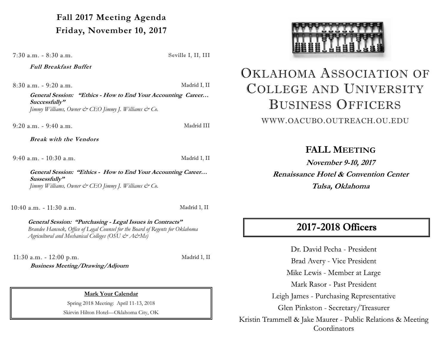**Fall 2017 Meeting Agenda Friday, November 10, 2017**

7:30 a.m. - 8:30 a.m. Seville I, II, III

**Full Breakfast Buffet**

8:30 a.m. - 9:20 a.m. Madrid I, II

**General Session: "Ethics - How to End Your Accounting Career… Successfully"** *Jimmy Williams, Owner & CEO Jimmy J. Williams & Co.*

9:20 a.m. - 9:40 a.m. Madrid III

**Break with the Vendors**

9:40 a.m. - 10:30 a.m. Madrid 1, II

**General Session: "Ethics - How to End Your Accounting Career… Sussessfully"** *Jimmy Williams, Owner & CEO Jimmy J. Williams & Co.*

10:40 a.m. - 11:30 a.m. Madrid 1, II

**General Session: "Purchasing - Legal Issues in Contracts"** *Brandee Hancock, Office of Legal Counsel for the Board of Regents for Oklahoma Agricultural and Mechanical Colleges (OSU & A&Ms)*

11:30 a.m. - 12:00 p.m. Madrid 1, II

**Business Meeting/Drawing/Adjourn**

**Mark Your Calendar**

Spring 2018 Meeting: April 11-13, 2018

Skirvin Hilton Hotel—Oklahoma City, OK



## OKLAHOMA ASSOCIATION OF COLLEGE AND UNIVERSITY BUSINESS OFFICERS

WWW.OACUBO.OUTREACH.OU.EDU

**FALL MEETING**

**November 9-10, 2017 Renaissance Hotel & Convention Center Tulsa, Oklahoma**

## 2017-2018 Officers

Dr. David Pecha - President Brad Avery - Vice President Mike Lewis - Member at Large Mark Rasor - Past President Leigh James - Purchasing Representative Glen Pinkston - Secretary/Treasurer Kristin Trammell & Jake Maurer - Public Relations & Meeting Coordinators